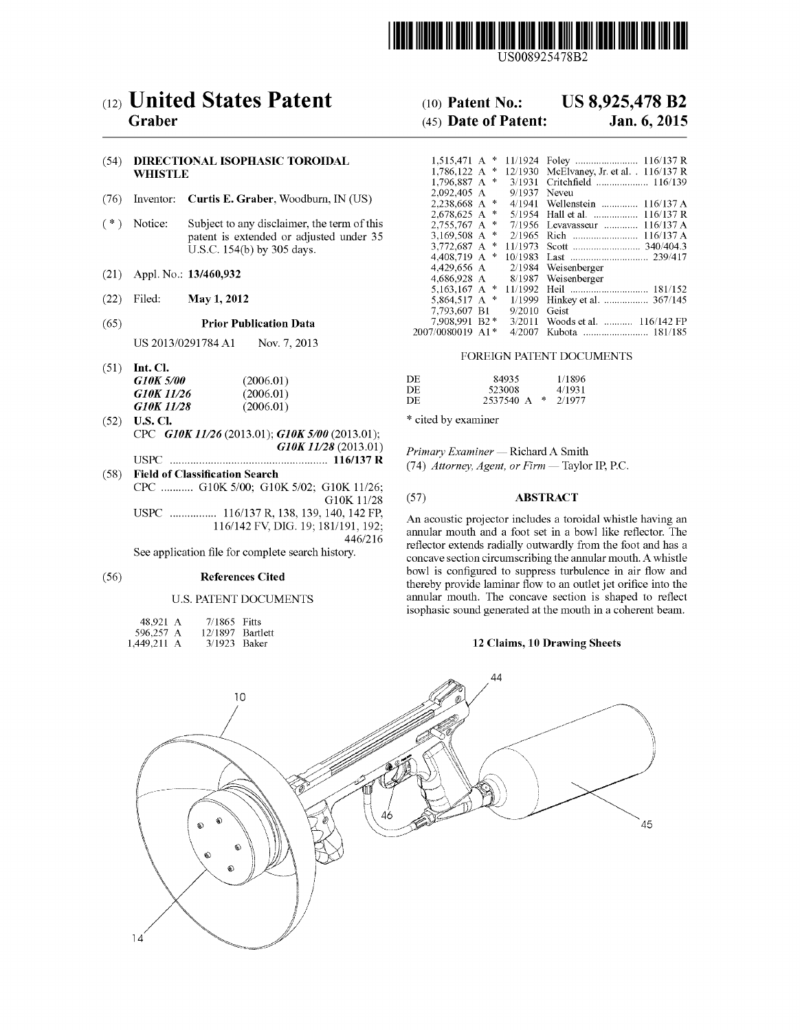

US008925478B2

# (12) United States Patent (10) Patent No.: US 8,925,478 B2<br>Graber (45) Date of Patent: Jan. 6, 2015

## (54) DIRECTIONAL ISOPHASIC TOROIDAL WHISTLE

- (76) Inventor: **Curtis E. Graber**, Woodburn, IN (US)<br>(\*) Notice: Subject to any disclaimer, the term of th
- Subject to any disclaimer, the term of this patent is extended or adjusted under 35 U.S.C. 154(b) by 305 days.
- (21) Appl. No.: 13/460,932
- 
- (65) Prior Publication Data

US 2013/0291784 A1 Nov. 7, 2013

(51) Int. Cl.

| G10K 5/00  | (2006.01) | DE | 84935                        | 1/1896 |
|------------|-----------|----|------------------------------|--------|
| G10K 11/26 | (2006.01) | DE | 523008                       | 4/1931 |
| G10K 11/28 | (2006.01) | DF | $2537540 \text{ A}$ * 2/1977 |        |

- (52) U.S. Cl.  $*$  cited by examiner CPC G10K 11/26 (2013.01); G10K 5/00 (2013.01);<br>G10K 11/28 (2013.01) USPC - - - - - - - - - - - grrrrr. 116/1.37 R (74) Attorney, Agent, or Firm — Taylor IP. P.C.
- (58) Field of Classification Search CPC ........... G10K 5/00; G10K 5/02; G10K 11/26;<br>G10K 11/28 (57) **ABSTRACT**<br>USPC ................. 116/137 R, 138, 139, 140, 142 FP, Ap assume consistent includes a tem

See application file for complete search history.

### U.S. PATENT DOCUMENTS

| 48.921 A    | 7/1865 Fitts     |  |
|-------------|------------------|--|
| 596,257 A   | 12/1897 Bartlett |  |
| 1,449,211 A | 3/1923 Baker     |  |

### $(45)$  Date of Patent:

| (54)         | WHISTLE | DIRECTIONAL ISOPHASIC TOROIDAL                                                                                       | $1.796.887 \, \text{A}$ *                                                                |                        | 1,786,122 A * 12/1930 McElvaney, Jr. et al. . 116/137 R<br>3/1931 Critchfield  116/139   |
|--------------|---------|----------------------------------------------------------------------------------------------------------------------|------------------------------------------------------------------------------------------|------------------------|------------------------------------------------------------------------------------------|
| (76)         |         | Inventor: Curtis E. Graber, Woodburn, IN (US)                                                                        | 2.092.405 A<br>$2.238.668$ A *                                                           | 9/1937 Neveu<br>4/1941 | Wellenstein  116/137 A                                                                   |
| $($ $^*$ $)$ | Notice: | Subject to any disclaimer, the term of this<br>patent is extended or adjusted under 35<br>U.S.C. 154(b) by 305 days. | $2.678.625 \text{ A}$ *<br>$2.755.767 \text{ A}$ *<br>3.169.508 A $*$<br>3.772.687 A $*$ |                        | 5/1954 Hall et al.  116/137 R<br>7/1956 Levavasseur  116/137 A<br>2/1965 Rich  116/137 A |
| (21)         |         | Appl. No.: 13/460,932                                                                                                | 4.408.719 A $*$<br>4.429.656 A<br>4.686.928 A                                            |                        | $2/1984$ Weisenberger<br>8/1987 Weisenberger                                             |
| (22)         | Filed:  | May 1, 2012                                                                                                          | 5.864.517 A $*$<br>7.793.607 B1                                                          | 9/2010 Geist           | 181/152<br>1/1999 Hinkey et al.  367/145                                                 |
| (65)         |         | <b>Prior Publication Data</b>                                                                                        | 7.908.991 B2*<br>2007/0080019 A1*                                                        | 3/2011<br>4/2007       | Woods et al.  116/142 FP                                                                 |

### FOREIGN PATENT DOCUMENTS

| (2006.01) | DE                      | 84935  | 1/1896                 |
|-----------|-------------------------|--------|------------------------|
|           | DF                      | 523008 | 4/1931                 |
|           | DE                      |        |                        |
|           | (2006.01)<br>(0.006.01) |        | $2537540$ A $*$ 2/1977 |

Primary Examiner — Richard A Smith<br>(74) Attorney, Agent, or Firm — Taylor IP, P.C.

 $116/142$  FV, DIG. 19, 181/191, 192; An acoustic projector includes a toroidal whistle having an  $116/142$  FV, DIG. 19; 181/191, 192; annular mouth and a feat at in a have like upfactor. The 191, 192; annular mouth and a foot set in a bowl like reflector. The reflector extends radially outwardly from the foot and has a concave section circumscribing the annular mouth. A whistle (56) References Cited bowl is configured to suppress turbulence in air flow and thereby provide laminar flow to an outlet jet orifice into the annular mouth. The concave section is shaped to reflect isophasic sound generated at the mouth in a coherent beam.

### 12 Claims, 10 Drawing Sheets

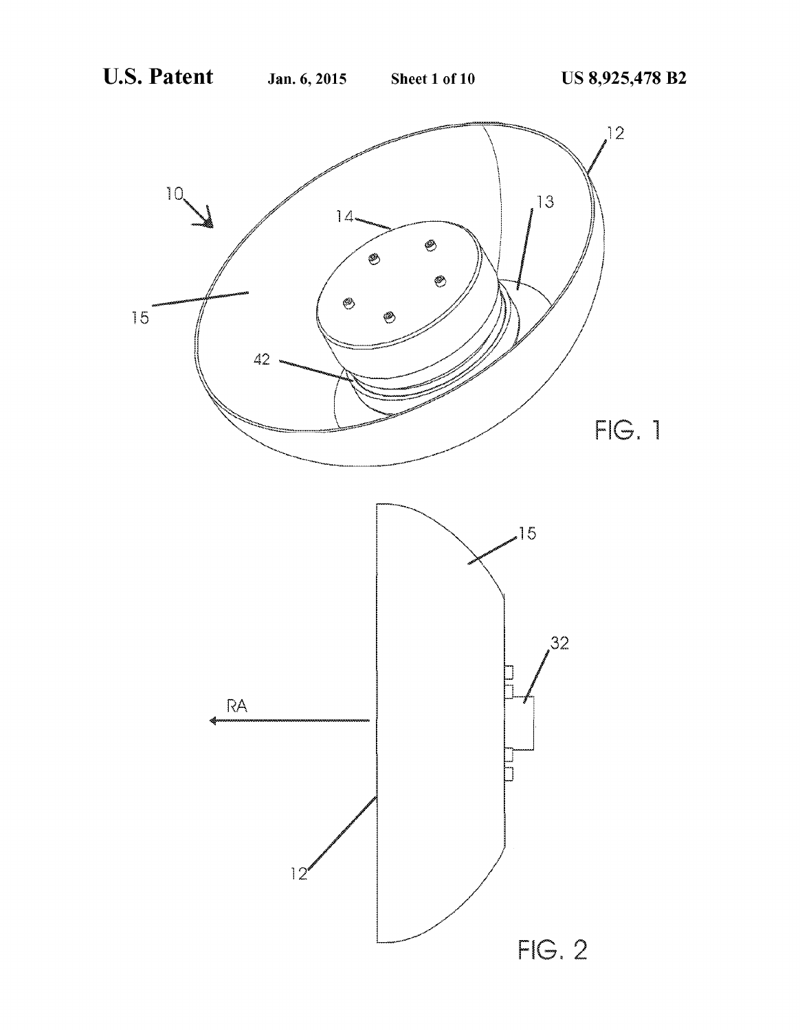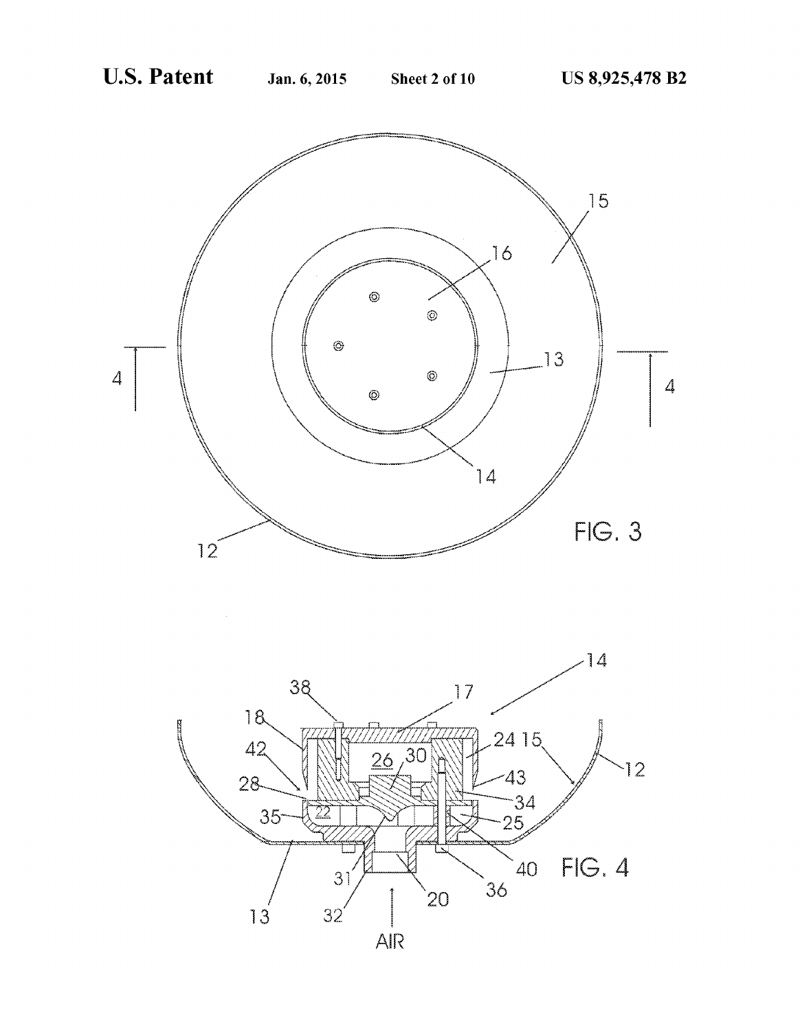

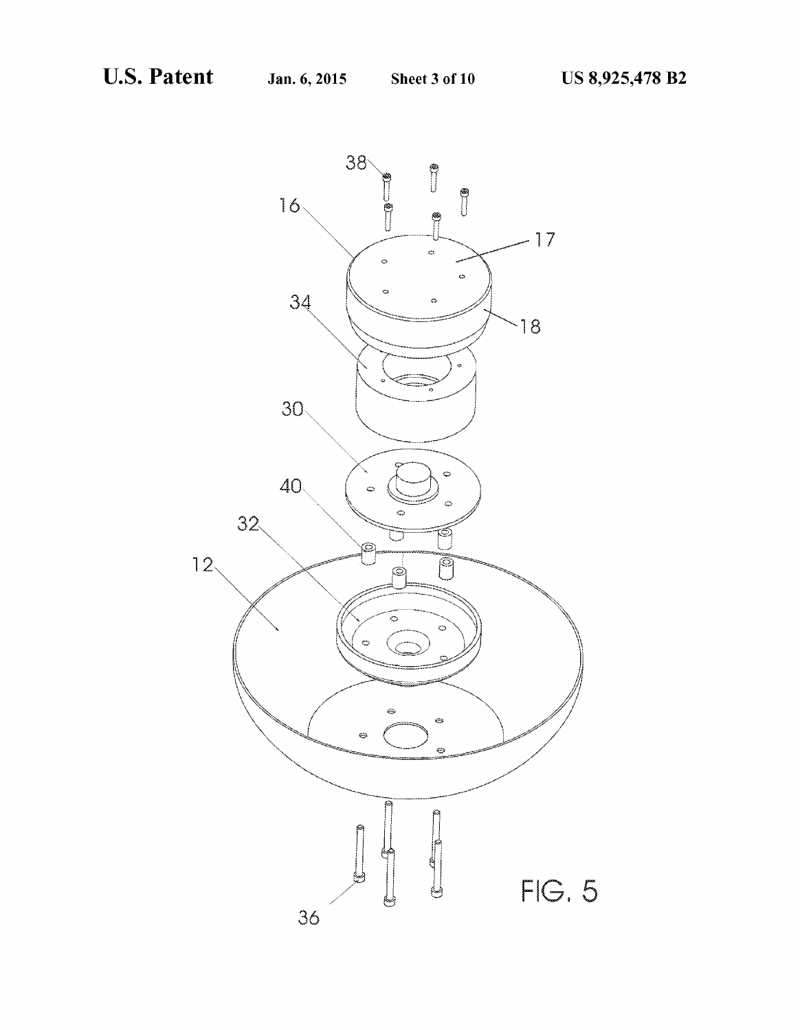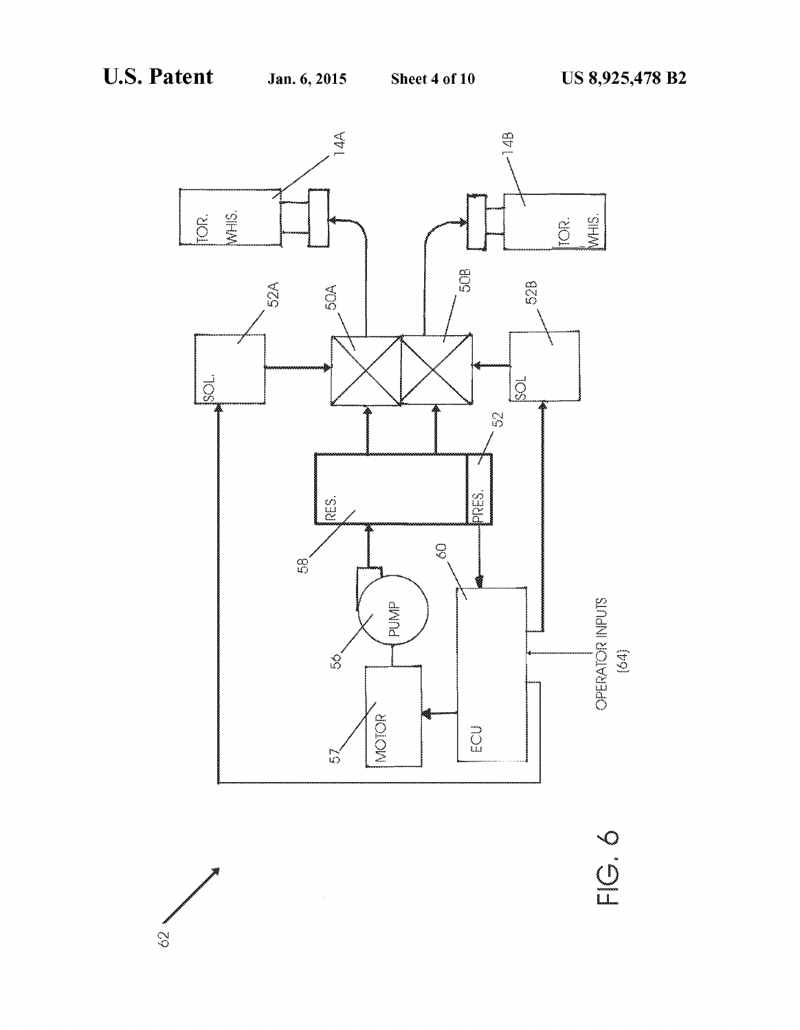

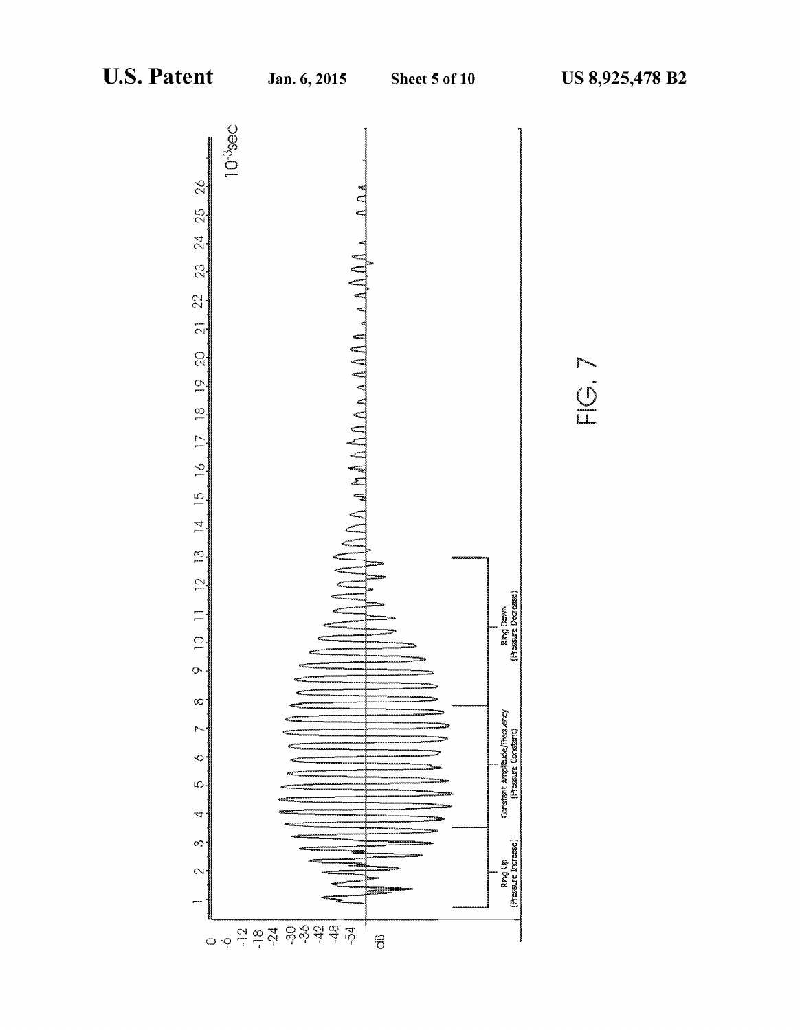NO.

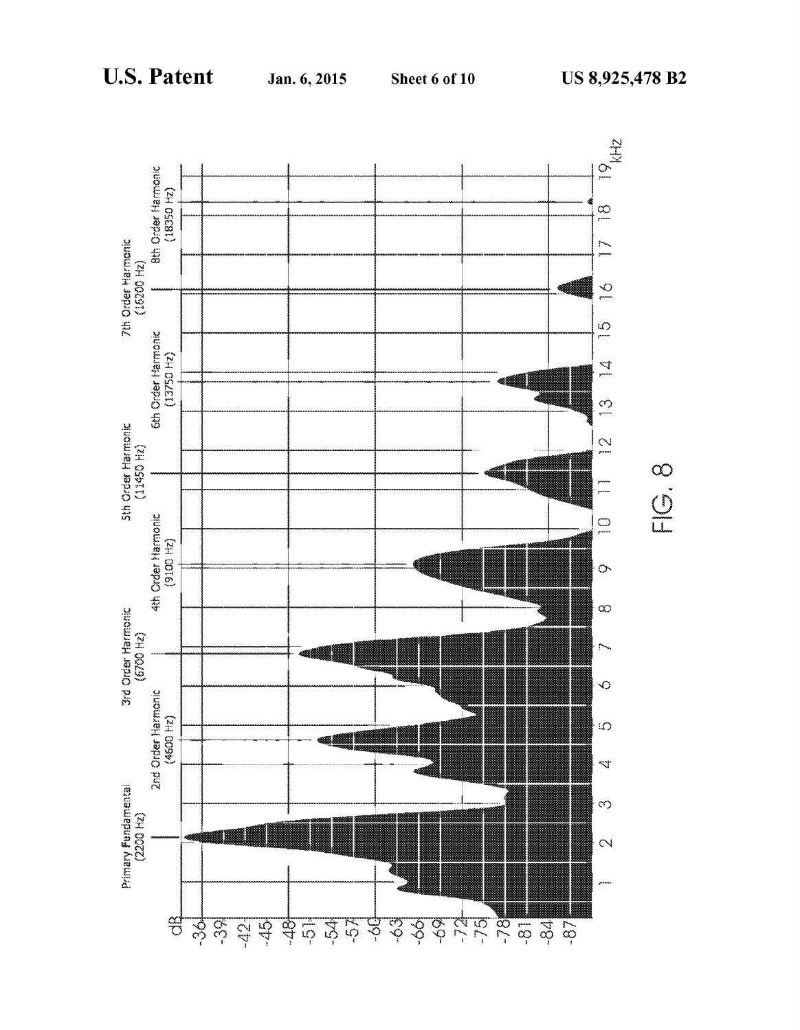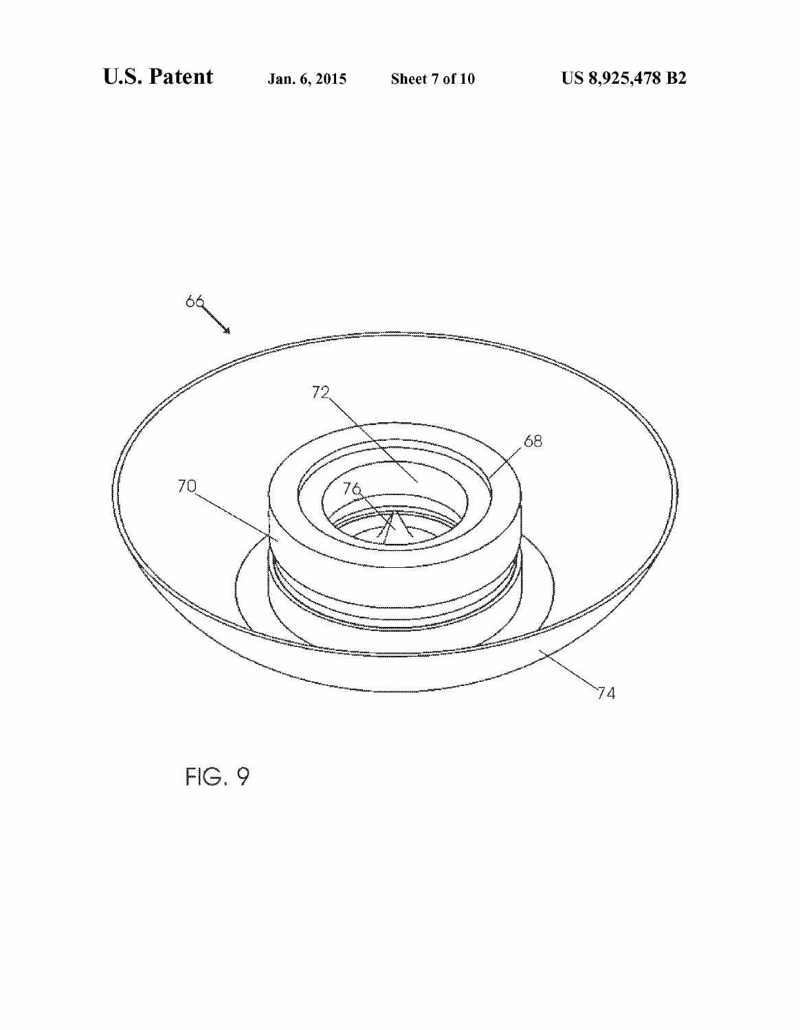

**FIG. 9**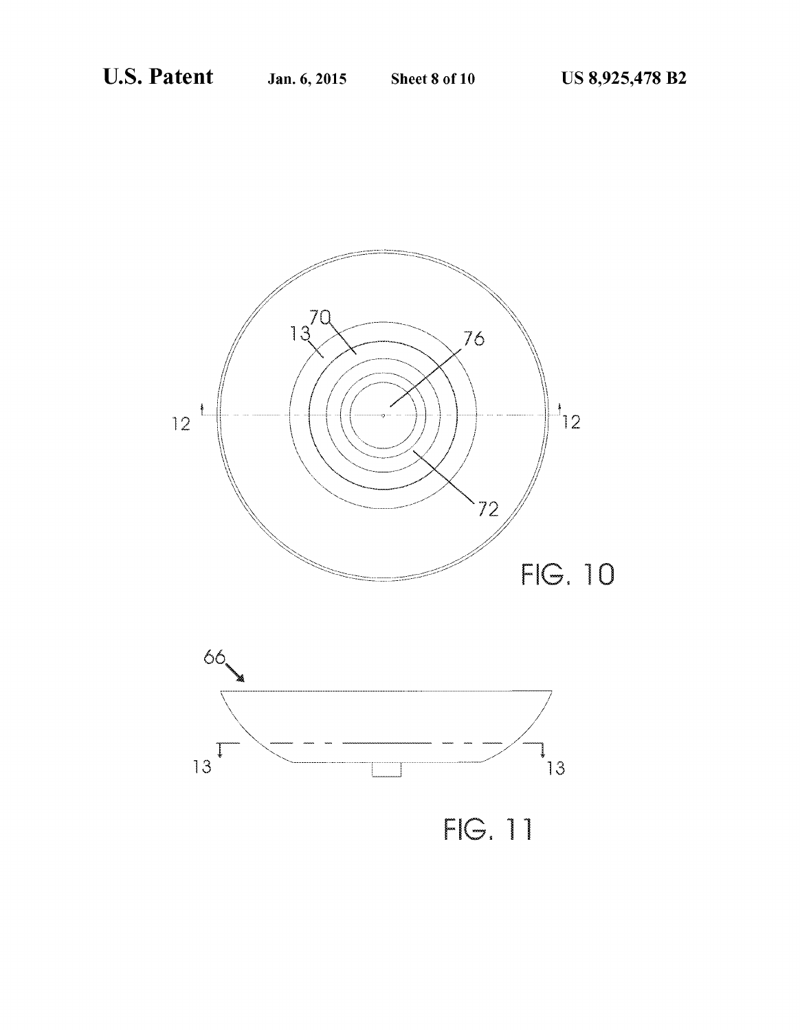



**FIG. 11**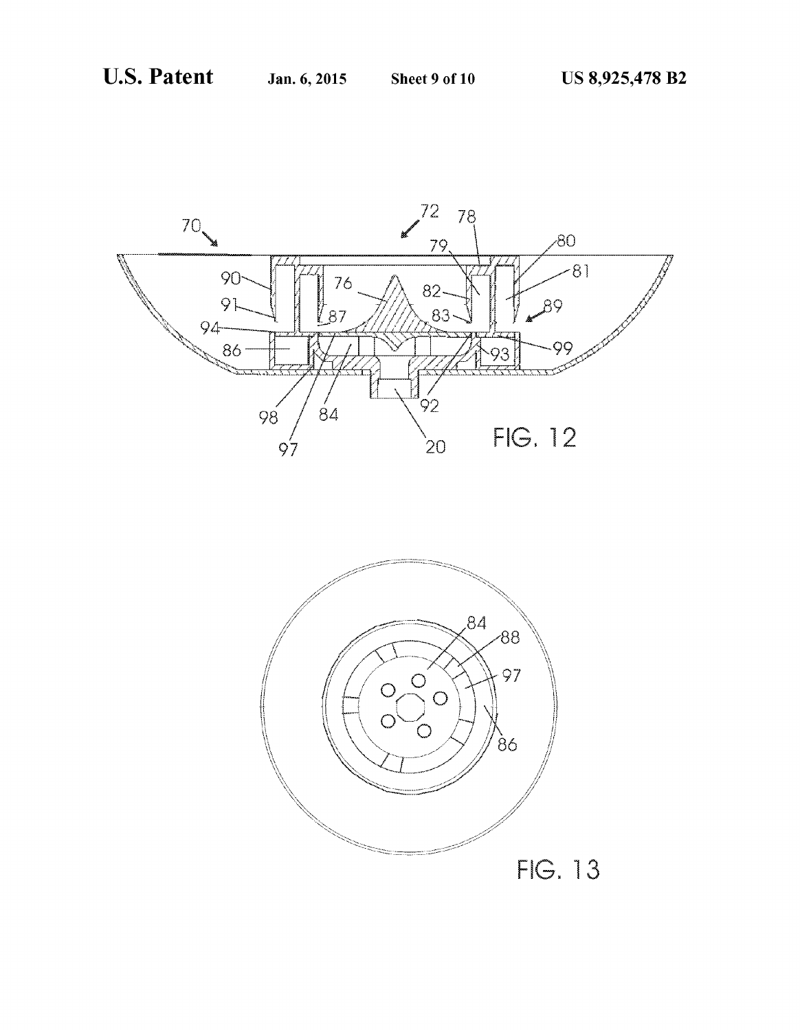

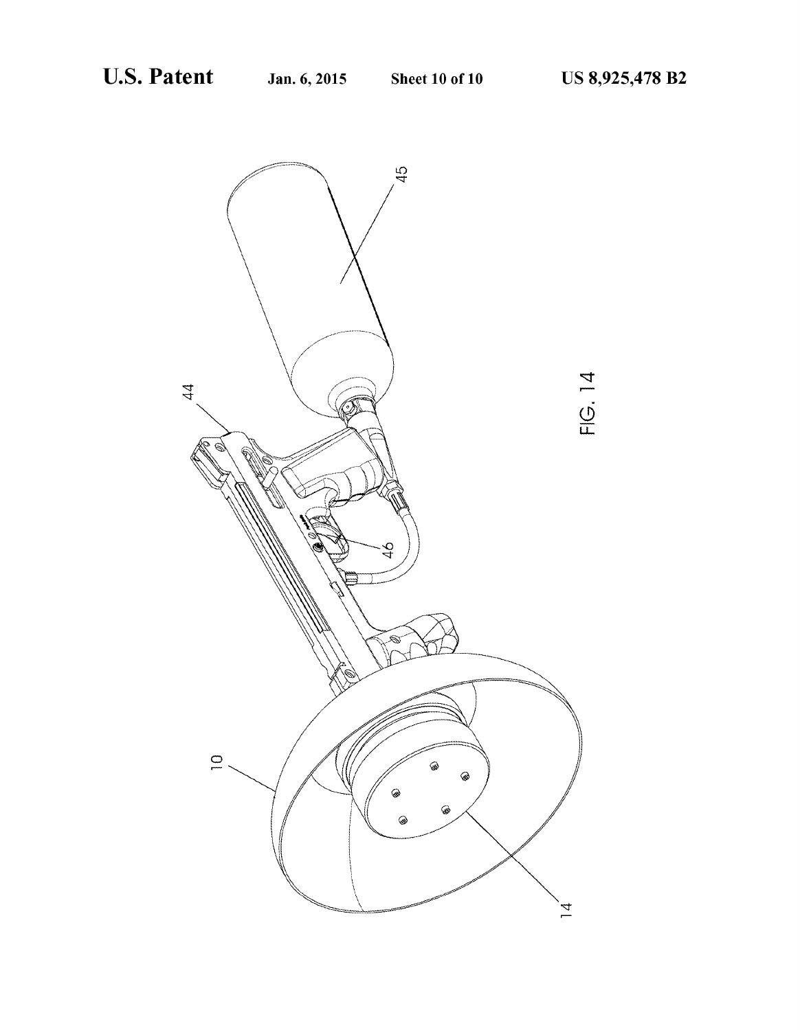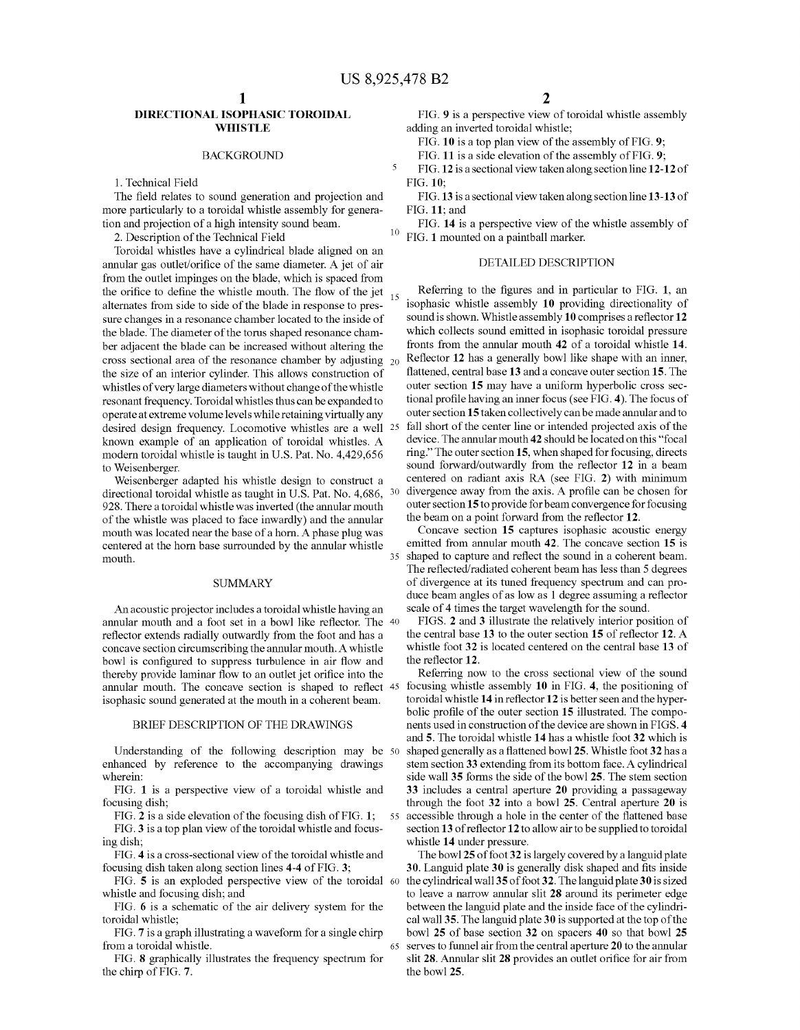10

5

65

### DIRECTIONAL ISOPHASIC TOROIDAL WHISTLE

### BACKGROUND

1. Technical Field

The field relates to sound generation and projection and more particularly to a toroidal whistle assembly for genera tion and projection of a high intensity sound beam.

2. Description of the Technical Field

Toroidal whistles have a cylindrical blade aligned on an annular gas outlet/orifice of the same diameter. A jet of air from the outlet impinges on the blade, which is spaced from the orifice to define the whistle mouth. The flow of the jet  $_{15}$ alternates from side to side of the blade in response to pres sure changes in a resonance chamber located to the inside of the blade. The diameter of the torus shaped resonance cham ber adjacent the blade can be increased without altering the cross sectional area of the resonance chamber by adjusting the size of an interior cylinder. This allows construction of whistles of very large diameters without change of the whistle resonant frequency. Toroidal whistles thus can be expanded to operate at extreme Volume levels while retaining virtually any desired design frequency. Locomotive whistles are a well 25 known example of an application of toroidal whistles. A modern toroidal whistle is taught in U.S. Pat. No. 4,429,656 to Weisenberger.

Weisenberger adapted his whistle design to construct a directional toroidal whistle as taught in U.S. Pat. No. 4,686, 30 928. There a toroidal whistle was inverted (the annular mouth of the whistle was placed to face inwardly) and the annular mouth was located near the base of a horn. A phase plug was centered at the horn base surrounded by the annular whistle mouth. 35

### SUMMARY

An acoustic projector includes a toroidal whistle having an annular mouth and a foot set in a bowl like reflector. The 40 reflector extends radially outwardly from the foot and has a concave section circumscribing the annular mouth. A whistle bowl is configured to suppress turbulence in air flow and thereby provide laminar flow to an outlet jet orifice into the annular mouth. The concave section is shaped to reflect 45 isophasic sound generated at the mouth in a coherent beam.

### BRIEF DESCRIPTION OF THE DRAWINGS

Understanding of the following description may be 50 enhanced by reference to the accompanying drawings wherein:

FIG. 1 is a perspective view of a toroidal whistle and focusing dish;

FIG. 2 is a side elevation of the focusing dish of FIG. 1; FIG. 3 is a top plan view of the toroidal whistle and focus ing dish; 55

FIG. 4 is a cross-sectional view of the toroidal whistle and focusing dish taken along section lines 4-4 of FIG. 3;

FIG. 5 is an exploded perspective view of the toroidal 60 whistle and focusing dish; and

FIG. 6 is a schematic of the air delivery system for the toroidal whistle;

FIG. 7 is a graph illustrating a waveform for a single chirp from a toroidal whistle.

FIG. 8 graphically illustrates the frequency spectrum for the chirp of FIG. 7.

FIG. 9 is a perspective view of toroidal whistle assembly adding an inverted toroidal whistle;

FIG. 10 is a top plan view of the assembly of FIG.9;

FIG. 11 is a side elevation of the assembly of FIG.9;

FIG. 12 is a sectional view taken along section line 12-12 of FIG. 10;

FIG.13 is a sectional view taken along section line 13-13 of FIG. 11; and

FIG. 14 is a perspective view of the whistle assembly of FIG. 1 mounted on a paintball marker.

### DETAILED DESCRIPTION

Referring to the figures and in particular to FIG. 1, an isophasic whistle assembly 10 providing directionality of sound is shown. Whistle assembly 10 comprises a reflector 12 which collects sound emitted in isophasic toroidal pressure fronts from the annular mouth 42 of a toroidal whistle 14. Reflector 12 has a generally bowl like shape with an inner, flattened, central base 13 and a concave outer section 15. The outer section 15 may have a uniform hyperbolic cross sec tional profile having an inner focus (see FIG. 4). The focus of outer section 15 taken collectively can be made annular and to fall short of the center line or intended projected axis of the device. The annular mouth 42 should be located on this "focal ring." The outer section 15, when shaped for focusing, directs sound forward/outwardly from the reflector 12 in a beam centered on radiant axis RA (see FIG. 2) with minimum divergence away from the axis. A profile can be chosen for outer section 15 to provide for beam convergence for focusing the beam on a point forward from the reflector 12.

Concave section 15 captures isophasic acoustic energy emitted from annular mouth 42. The concave section 15 is shaped to capture and reflect the sound in a coherent beam.<br>The reflected/radiated coherent beam has less than 5 degrees of divergence at its tuned frequency spectrum and can produce beam angles of as low as 1 degree assuming a reflector scale of 4 times the target wavelength for the sound.

FIGS. 2 and 3 illustrate the relatively interior position of the central base 13 to the outer section 15 of reflector 12. A whistle foot 32 is located centered on the central base 13 of the reflector 12.

Referring now to the cross sectional view of the sound focusing whistle assembly 10 in FIG. 4, the positioning of toroidal whistle 14 in reflector 12 is better seen and the hyperbolic profile of the outer section 15 illustrated. The components used in construction of the device are shown in FIGS. 4 and 5. The toroidal whistle 14 has a whistle foot 32 which is shaped generally as a flattened bowl 25. Whistle foot 32 has a stem section 33 extending from its bottom face. A cylindrical side wall 35 forms the side of the bowl 25. The stem section 33 includes a central aperture 20 providing a passageway through the foot 32 into a bowl 25. Central aperture 20 is accessible through a hole in the center of the flattened base section 13 of reflector 12 to allow air to be supplied to toroidal whistle 14 under pressure.<br>The bowl 25 of foot 32 is largely covered by a languid plate

30. Languid plate 30 is generally disk shaped and fits inside the cylindrical wall 35 of foot 32. The languid plate 30 is sized to leave a narrow annular slit 28 around its perimeter edge<br>between the languid plate and the inside face of the cylindrical wall 35. The languid plate 30 is supported at the top of the bowl 25 of base section 32 on spacers 40 so that bowl 25 serves to funnel air from the central aperture 20 to the annular slit 28. Annular slit 28 provides an outlet orifice for air from the bowl 25.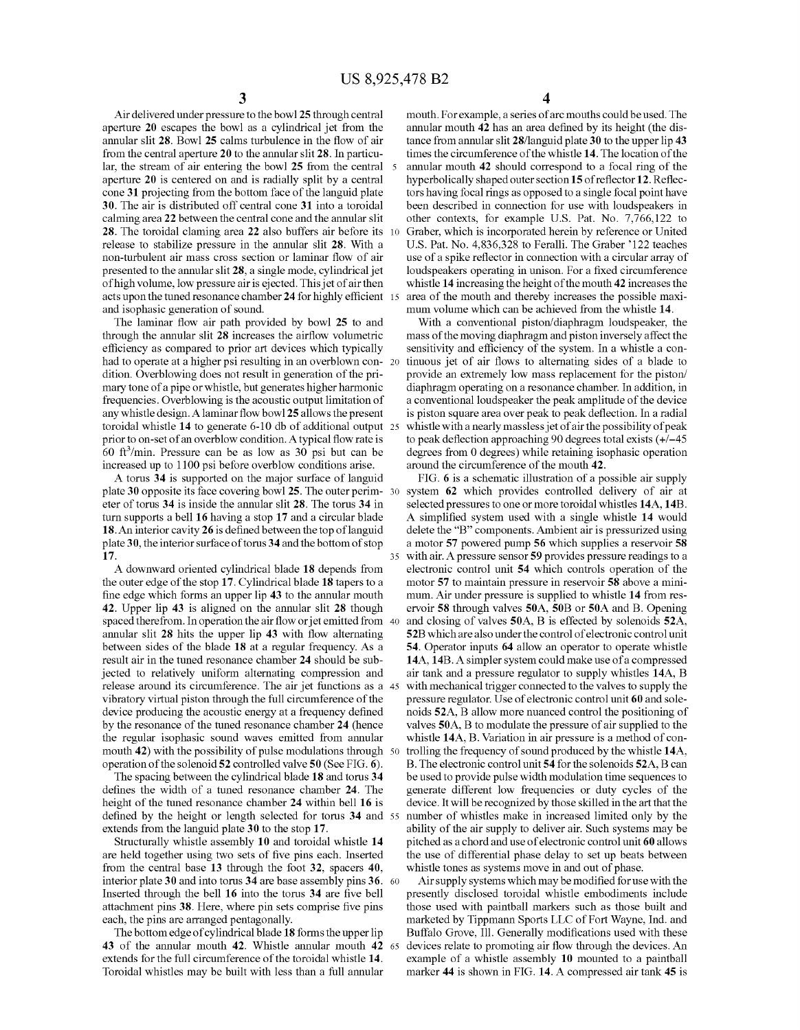35

Air delivered under pressure to the bowl 25 through central aperture 20 escapes the bowl as a cylindrical jet from the annular slit 28. Bowl 25 calms turbulence in the flow of air from the central aperture 20 to the annular slit 28. In particu lar, the stream of air entering the bowl 25 from the central 5 aperture 20 is centered on and is radially split by a central cone 31 projecting from the bottom face of the languid plate 30. The air is distributed off central cone 31 into a toroidal calming area 22 between the central cone and the annular slit 28. The toroidal claming area 22 also buffers air before its release to stabilize pressure in the annular slit 28. With a non-turbulent air mass cross section or laminar flow of air presented to the annular slit 28, a single mode, cylindrical jet of high volume, low pressure air is ejected. This jet of air then acts upon the tuned resonance chamber 24 for highly efficient 15 and isophasic generation of sound. 10

The laminar flow air path provided by bowl 25 to and through the annular slit 28 increases the airflow volumetric efficiency as compared to prior art devices which typically had to operate at a higher psi resulting in an overblown con- 20 dition. Overblowing does not result in generation of the pri mary tone of a pipe or whistle, but generates higher harmonic frequencies. Overblowing is the acoustic output limitation of any whistle design. Alaminar flow bowl 25 allows the present prior to on-set of an overblow condition. A typical flow rate is 60 ft $\frac{3}{\text{min}}$ . Pressure can be as low as 30 psi but can be increased up to 1100 psi before overblow conditions arise. toroidal whistle 14 to generate 6-10 db of additional output 25

A torus 34 is supported on the major surface of languid plate 30 opposite its face covering bowl 25. The outer perim- 30 eter of torus 34 is inside the annular slit 28. The torus 34 in turn supports a bell 16 having a stop 17 and a circular blade 18. An interior cavity 26 is defined between the top of languid plate 30, the interior surface of torus 34 and the bottom of stop 17.

A downward oriented cylindrical blade 18 depends from the outer edge of the stop 17. Cylindrical blade 18 tapers to a fine edge which forms an upper lip 43 to the annular mouth 42. Upper lip 43 is aligned on the annular slit 28 though spaced therefrom. In operation the air flow or jet emitted from 40 annular slit 28 hits the upper lip 43 with flow alternating between sides of the blade 18 at a regular frequency. As a result air in the tuned resonance chamber 24 should be sub jected to relatively uniform alternating compression and release around its circumference. The air jet functions as a 45 vibratory virtual piston through the full circumference of the device producing the acoustic energy at a frequency defined by the resonance of the tuned resonance chamber 24 (hence the regular isophasic sound waves emitted from annular mouth 42) with the possibility of pulse modulations through 50 operation of the solenoid 52 controlled valve 50 (See FIG. 6).

The spacing between the cylindrical blade 18 and torus 34 defines the width of a tuned resonance chamber 24. The height of the tuned resonance chamber 24 within bell 16 is defined by the height or length selected for torus 34 and 55 extends from the languid plate 30 to the stop 17.

Structurally whistle assembly 10 and toroidal whistle 14 are held together using two sets of five pins each. Inserted from the central base 13 through the foot 32, spacers 40, interior plate 30 and into torus 34 are base assembly pins 36. 60 Inserted through the bell 16 into the torus 34 are five bell attachment pins 38. Here, where pin sets comprise five pins each, the pins are arranged pentagonally.

The bottom edge of cylindrical blade 18 forms the upper lip 43 of the annular mouth 42. Whistle annular mouth 42 65 extends for the full circumference of the toroidal whistle 14. Toroidal whistles may be built with less than a full annular

4

mouth. For example, a series of arc mouths could be used. The annular mouth 42 has an area defined by its height (the dis tance from annular slit 28/languid plate 30 to the upper lip 43 times the circumference of the whistle 14. The location of the annular mouth 42 should correspond to a focal ring of the hyperbolically shaped outer section 15 of reflector 12. Reflectors having focal rings as opposed to a single focal point have been described in connection for use with loudspeakers in other contexts, for example U.S. Pat. No. 7,766,122 to Graber, which is incorporated herein by reference or United U.S. Pat. No. 4,836,328 to Feralli. The Graber 122 teaches use of a spike reflector in connection with a circular array of loudspeakers operating in unison. For a fixed circumference whistle 14 increasing the height of the mouth 42 increases the area of the mouth and thereby increases the possible maximum volume which can be achieved from the whistle 14.

With a conventional piston/diaphragm loudspeaker, the mass of the moving diaphragm and piston inversely affect the sensitivity and efficiency of the system. In a whistle a con tinuous jet of air flows to alternating sides of a blade to provide an extremely low mass replacement for the piston/ diaphragm operating on a resonance chamber. In addition, in a conventional loudspeaker the peak amplitude of the device is piston square area over peak to peak deflection. In a radial whistle with a nearly massless jet of air the possibility of peak to peak deflection approaching 90 degrees total exists (+/-45 degrees from 0 degrees) while retaining isophasic operation around the circumference of the mouth 42.

FIG. 6 is a schematic illustration of a possible air supply system 62 which provides controlled delivery of air at selected pressures to one or more toroidal whistles 14A, 14B. A simplified system used with a single whistle 14 would delete the "B" components. Ambient air is pressurized using a motor 57 powered pump 56 which supplies a reservoir 58 with air. A pressure sensor 59 provides pressure readings to a electronic control unit 54 which controls operation of the motor 57 to maintain pressure in reservoir 58 above a mini mum. Air under pressure is supplied to whistle 14 from reservoir 58 through valves 50A, 50B or 50A and B. Opening and closing of valves 50A, B is effected by solenoids 52A, 52B which are also under the control of electronic control unit 54. Operator inputs 64 allow an operator to operate whistle 14A, 14B. A simpler system could make use of a compressed air tank and a pressure regulator to supply whistles 14A, B with mechanical trigger connected to the valves to supply the pressure regulator. Use of electronic control unit 60 and sole noids 52A, B allow more nuanced control the positioning of valves 50A, B to modulate the pressure of air supplied to the whistle 14A, B. Variation in air pressure is a method of con trolling the frequency of sound produced by the whistle 14A, B. The electronic control unit 54 for the solenoids 52A, B can be used to provide pulse width modulation time sequences to generate different low frequencies or duty cycles of the device. It will be recognized by those skilled in the art that the number of whistles make in increased limited only by the ability of the air supply to deliver air. Such systems may be pitched as a chord and use of electronic control unit 60 allows the use of differential phase delay to set up beats between whistle tones as systems move in and out of phase.

Air supply systems which may be modified for use with the presently disclosed toroidal whistle embodiments include those used with paintball markers such as those built and marketed by Tippmann Sports LLC of Fort Wayne, Ind. and Buffalo Grove, Ill. Generally modifications used with these devices relate to promoting air flow through the devices. An example of a whistle assembly 10 mounted to a paintball marker 44 is shown in FIG. 14. A compressed air tank 45 is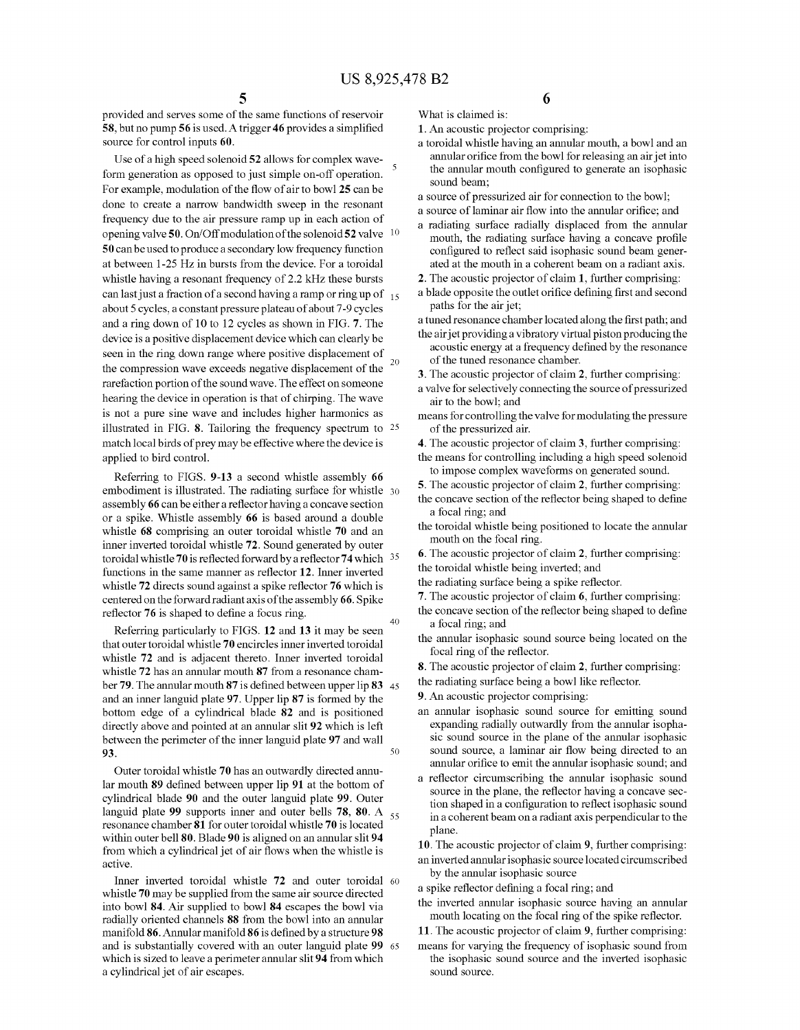provided and serves some of the same functions of reservoir 58, but no pump 56 is used. A trigger 46 provides a simplified source for control inputs 60.

Use of a high speed solenoid 52 allows for complex wave-<br>form generation as opposed to just simple on-off operation. For example, modulation of the flow of air to bowl 25 can be done to create a narrow bandwidth Sweep in the resonant frequency due to the air pressure ramp up in each action of opening valve 50. On/Off modulation of the solenoid 52 valve 10 50 can be used to produce a secondary low frequency function at between 1-25 Hz in bursts from the device. For a toroidal whistle having a resonant frequency of 2.2 kHz these bursts can last just a fraction of a second having a ramp or ring up of  $_{15}$ about 5 cycles, a constant pressure plateau of about 7-9 cycles and a ring down of 10 to 12 cycles as shown in FIG. 7. The device is a positive displacement device which can clearly be seen in the ring down range where positive displacement of  $\frac{20}{20}$ the compression wave exceeds negative displacement of the rarefaction portion of the sound wave. The effect on someone hearing the device in operation is that of chirping. The wave is not a pure sine wave and includes higher harmonics as illustrated in FIG. 8. Tailoring the frequency spectrum to 25 match local birds of prey may be effective where the device is applied to bird control.

Referring to FIGS. 9-13 a second whistle assembly 66 embodiment is illustrated. The radiating surface for whistle 30 assembly 66 can be either a reflector having a concave section or a spike. Whistle assembly 66 is based around a double whistle 68 comprising an outer toroidal whistle 70 and an inner inverted toroidal whistle 72. Sound generated by outer toroidal whistle 70 is reflected forward by a reflector 74 which functions in the same manner as reflector 12. Inner inverted whistle 72 directs sound against a spike reflector 76 which is centered on the forward radiant axis of the assembly 66. Spike reflector  $76$  is shaped to define a focus ring.

Referring particularly to FIGS. 12 and 13 it may be seen that outer toroidal whistle 70 encircles inner inverted toroidal whistle 72 and is adjacent thereto. Inner inverted toroidal whistle 72 has an annular mouth 87 from a resonance cham ber 79. The annular mouth 87 is defined between upper lip 83 45 and an inner languid plate 97. Upper lip 87 is formed by the bottom edge of a cylindrical blade 82 and is positioned directly above and pointed at an annular slit 92 which is left between the perimeter of the inner languid plate 97 and wall **93.**  $\frac{1}{2}$  **93.**  $\frac{1}{2}$  **50.**  $\frac{1}{2}$  **50.**  $\frac{1}{2}$  **50.**  $\frac{1}{2}$  **50.**  $\frac{1}{2}$ 

Outer toroidal whistle 70 has an outwardly directed annu lar mouth 89 defined between upper lip 91 at the bottom of cylindrical blade 90 and the outer languid plate 99. Outer languid plate 99 supports inner and outer bells 78, 80. A  $_{55}$ resonance chamber 81 for outer toroidal whistle 70 is located within outer bell 80. Blade 90 is aligned on an annular slit 94 from which a cylindrical jet of air flows when the whistle is active.

Inner inverted toroidal whistle 72 and outer toroidal 60 whistle 70 may be supplied from the same air source directed into bowl 84. Air supplied to bowl 84 escapes the bowl via radially oriented channels 88 from the bowl into an annular manifold 86. Annular manifold 86 is defined by a structure 98 and is substantially covered with an outer languid plate 99 65 and is substantially covered with an outer languid plate 99 which is sized to leave a perimeter annular slit 94 from which a cylindrical jet of air escapes.

6

1. An acoustic projector comprising:

What is claimed is:

- a toroidal whistle having an annular mouth, a bowl and an annular orifice from the bowl for releasing an air jet into the annular mouth configured to generate an isophasic sound beam:
- a source of pressurized air for connection to the bowl;
- a source of laminar air flow into the annular orifice; and
- a radiating surface radially displaced from the annular mouth, the radiating surface having a concave profile configured to reflect said isophasic sound beam generated at the mouth in a coherent beam on a radiant axis.
- 2. The acoustic projector of claim 1, further comprising:
- a blade opposite the outlet orifice defining first and second paths for the air jet;
- a tuned resonance chamber located along the first path; and the air jet providing a vibratory virtual piston producing the acoustic energy at a frequency defined by the resonance of the tuned resonance chamber.
- 3. The acoustic projector of claim 2, further comprising:
- a valve for selectively connecting the Source of pressurized air to the bowl; and
- means for controlling the valve for modulating the pressure of the pressurized air.
- 4. The acoustic projector of claim 3, further comprising:
- the means for controlling including a high speed solenoid to impose complex waveforms on generated sound.
- 5. The acoustic projector of claim 2, further comprising:
- the concave section of the reflector being shaped to define a focal ring; and
- the toroidal whistle being positioned to locate the annular mouth on the focal ring.
- 6. The acoustic projector of claim 2, further comprising: the toroidal whistle being inverted; and
- the radiating surface being a spike reflector.
- 7. The acoustic projector of claim 6, further comprising:
- the concave section of the reflector being shaped to define a focal ring; and
- the annular isophasic sound source being located on the focal ring of the reflector.
- 8. The acoustic projector of claim 2, further comprising:
- the radiating surface being a bowl like reflector.
- 9. An acoustic projector comprising:
- an annular isophasic sound source for emitting sound expanding radially outwardly from the annular isopha sic sound source in the plane of the annular isophasic sound source, a laminar air flow being directed to an annular orifice to emit the annular isophasic sound; and
- a reflector circumscribing the annular isophasic sound source in the plane, the reflector having a concave section shaped in a configuration to reflect isophasic sound in a coherent beam on a radiant axis perpendicular to the plane.

10. The acoustic projector of claim 9, further comprising:

an inverted annularisophasic source located circumscribed by the annular isophasic source

a spike reflector defining a focal ring; and

- the inverted annular isophasic source having an annular mouth locating on the focal ring of the spike reflector.
- 11. The acoustic projector of claim 9, further comprising:
- means for varying the frequency of isophasic sound from the isophasic sound source and the inverted isophasic sound source.